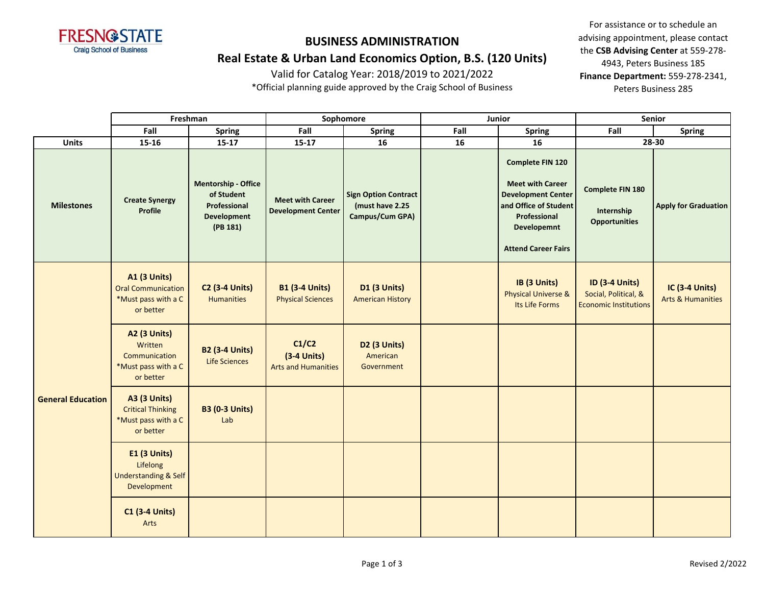

**Real Estate & Urban Land Economics Option, B.S. (120 Units)**

Valid for Catalog Year: 2018/2019 to 2021/2022

\*Official planning guide approved by the Craig School of Business

|                          | Freshman                                                                             |                                                                                            | Sophomore                                            |                                                                   | Junior |                                                                                                                                                                       | Senior                                                                        |                                                       |  |
|--------------------------|--------------------------------------------------------------------------------------|--------------------------------------------------------------------------------------------|------------------------------------------------------|-------------------------------------------------------------------|--------|-----------------------------------------------------------------------------------------------------------------------------------------------------------------------|-------------------------------------------------------------------------------|-------------------------------------------------------|--|
|                          | Fall                                                                                 | <b>Spring</b>                                                                              | Fall                                                 | <b>Spring</b>                                                     | Fall   | <b>Spring</b>                                                                                                                                                         | Fall                                                                          | <b>Spring</b>                                         |  |
| <b>Units</b>             | $15 - 16$                                                                            | $15 - 17$                                                                                  | $15 - 17$                                            | 16                                                                | 16     | 16                                                                                                                                                                    |                                                                               | 28-30                                                 |  |
| <b>Milestones</b>        | <b>Create Synergy</b><br>Profile                                                     | <b>Mentorship - Office</b><br>of Student<br>Professional<br><b>Development</b><br>(PB 181) | <b>Meet with Career</b><br><b>Development Center</b> | <b>Sign Option Contract</b><br>(must have 2.25<br>Campus/Cum GPA) |        | <b>Complete FIN 120</b><br><b>Meet with Career</b><br><b>Development Center</b><br>and Office of Student<br>Professional<br>Developemnt<br><b>Attend Career Fairs</b> | Complete FIN 180<br>Internship<br><b>Opportunities</b>                        | <b>Apply for Graduation</b>                           |  |
|                          | <b>A1 (3 Units)</b><br><b>Oral Communication</b><br>*Must pass with a C<br>or better | <b>C2 (3-4 Units)</b><br><b>Humanities</b>                                                 | <b>B1 (3-4 Units)</b><br><b>Physical Sciences</b>    | <b>D1 (3 Units)</b><br><b>American History</b>                    |        | IB (3 Units)<br><b>Physical Universe &amp;</b><br>Its Life Forms                                                                                                      | <b>ID (3-4 Units)</b><br>Social, Political, &<br><b>Economic Institutions</b> | <b>IC (3-4 Units)</b><br><b>Arts &amp; Humanities</b> |  |
| <b>General Education</b> | <b>A2 (3 Units)</b><br>Written<br>Communication<br>*Must pass with a C<br>or better  | <b>B2 (3-4 Units)</b><br><b>Life Sciences</b>                                              | C1/C2<br>$(3-4$ Units)<br><b>Arts and Humanities</b> | D <sub>2</sub> (3 Units)<br>American<br>Government                |        |                                                                                                                                                                       |                                                                               |                                                       |  |
|                          | <b>A3 (3 Units)</b><br><b>Critical Thinking</b><br>*Must pass with a C<br>or better  | <b>B3 (0-3 Units)</b><br>Lab                                                               |                                                      |                                                                   |        |                                                                                                                                                                       |                                                                               |                                                       |  |
|                          | E1 (3 Units)<br>Lifelong<br><b>Understanding &amp; Self</b><br>Development           |                                                                                            |                                                      |                                                                   |        |                                                                                                                                                                       |                                                                               |                                                       |  |
|                          | <b>C1 (3-4 Units)</b><br>Arts                                                        |                                                                                            |                                                      |                                                                   |        |                                                                                                                                                                       |                                                                               |                                                       |  |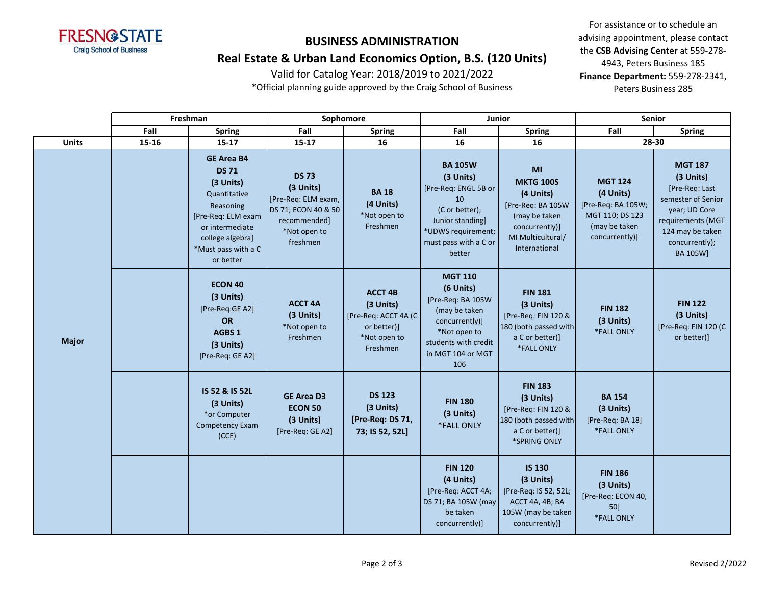

**Real Estate & Urban Land Economics Option, B.S. (120 Units)**

Valid for Catalog Year: 2018/2019 to 2021/2022

\*Official planning guide approved by the Craig School of Business

|              |       | Freshman                                                                                                                                                                     | Junior<br>Sophomore                                                                                                 |                                                                                                 | <b>Senior</b>                                                                                                                                            |                                                                                                                                   |                                                                                                           |                                                                                                                                                             |  |
|--------------|-------|------------------------------------------------------------------------------------------------------------------------------------------------------------------------------|---------------------------------------------------------------------------------------------------------------------|-------------------------------------------------------------------------------------------------|----------------------------------------------------------------------------------------------------------------------------------------------------------|-----------------------------------------------------------------------------------------------------------------------------------|-----------------------------------------------------------------------------------------------------------|-------------------------------------------------------------------------------------------------------------------------------------------------------------|--|
|              | Fall  | <b>Spring</b>                                                                                                                                                                | Fall                                                                                                                | <b>Spring</b>                                                                                   | Fall                                                                                                                                                     | <b>Spring</b>                                                                                                                     | Fall                                                                                                      | <b>Spring</b>                                                                                                                                               |  |
| Units        | 15-16 | $15 - 17$                                                                                                                                                                    | 15-17                                                                                                               | 16                                                                                              | 16                                                                                                                                                       | 16                                                                                                                                |                                                                                                           | 28-30                                                                                                                                                       |  |
|              |       | <b>GE Area B4</b><br><b>DS 71</b><br>(3 Units)<br>Quantitative<br>Reasoning<br>[Pre-Req: ELM exam<br>or intermediate<br>college algebra]<br>*Must pass with a C<br>or better | <b>DS 73</b><br>(3 Units)<br>[Pre-Req: ELM exam,<br>DS 71; ECON 40 & 50<br>recommended]<br>*Not open to<br>freshmen | <b>BA18</b><br>(4 Units)<br>*Not open to<br>Freshmen                                            | <b>BA 105W</b><br>(3 Units)<br>[Pre-Req: ENGL 5B or<br>10<br>(C or better);<br>Junior standing]<br>*UDWS requirement;<br>must pass with a C or<br>better | MI<br><b>MKTG 100S</b><br>(4 Units)<br>[Pre-Req: BA 105W<br>(may be taken<br>concurrently)]<br>MI Multicultural/<br>International | <b>MGT 124</b><br>(4 Units)<br>[Pre-Req: BA 105W;<br>MGT 110; DS 123<br>(may be taken<br>concurrently)]   | <b>MGT 187</b><br>(3 Units)<br>[Pre-Req: Last<br>semester of Senior<br>year; UD Core<br>requirements (MGT<br>124 may be taken<br>concurrently);<br>BA 105W] |  |
| <b>Major</b> |       | <b>ECON 40</b><br>(3 Units)<br>[Pre-Req:GE A2]<br>OR<br>AGBS 1<br>(3 Units)<br>[Pre-Req: GE A2]                                                                              | <b>ACCT 4A</b><br>(3 Units)<br>*Not open to<br>Freshmen                                                             | <b>ACCT 4B</b><br>(3 Units)<br>[Pre-Req: ACCT 4A (C)<br>or better)]<br>*Not open to<br>Freshmen | <b>MGT 110</b><br>(6 Units)<br>[Pre-Req: BA 105W<br>(may be taken<br>concurrently)]<br>*Not open to<br>students with credit<br>in MGT 104 or MGT<br>106  | <b>FIN 181</b><br>(3 Units)<br>[Pre-Req: FIN 120 &<br>180 (both passed with<br>a C or better)]<br>*FALL ONLY                      | <b>FIN 182</b><br>(3 Units)<br>*FALL ONLY<br><b>BA 154</b><br>(3 Units)<br>[Pre-Req: BA 18]<br>*FALL ONLY | <b>FIN 122</b><br>(3 Units)<br>[Pre-Req: FIN 120 (C)<br>or better)]                                                                                         |  |
|              |       | IS 52 & IS 52L<br>(3 Units)<br>*or Computer<br>Competency Exam<br>(CCE)                                                                                                      | <b>GE Area D3</b><br><b>ECON 50</b><br>(3 Units)<br>[Pre-Req: GE A2]                                                | <b>DS 123</b><br>(3 Units)<br>[Pre-Req: DS 71,<br>73; IS 52, 52L]                               | <b>FIN 180</b><br>(3 Units)<br>*FALL ONLY                                                                                                                | <b>FIN 183</b><br>(3 Units)<br>[Pre-Req: FIN 120 &<br>180 (both passed with<br>a C or better)]<br>*SPRING ONLY                    |                                                                                                           |                                                                                                                                                             |  |
|              |       |                                                                                                                                                                              |                                                                                                                     |                                                                                                 | <b>FIN 120</b><br>(4 Units)<br>[Pre-Req: ACCT 4A;<br>DS 71; BA 105W (may<br>be taken<br>concurrently)]                                                   | <b>IS 130</b><br>(3 Units)<br>[Pre-Req: IS 52, 52L;<br>ACCT 4A, 4B; BA<br>105W (may be taken<br>concurrently)]                    | <b>FIN 186</b><br>(3 Units)<br>[Pre-Req: ECON 40,<br>50]<br>*FALL ONLY                                    |                                                                                                                                                             |  |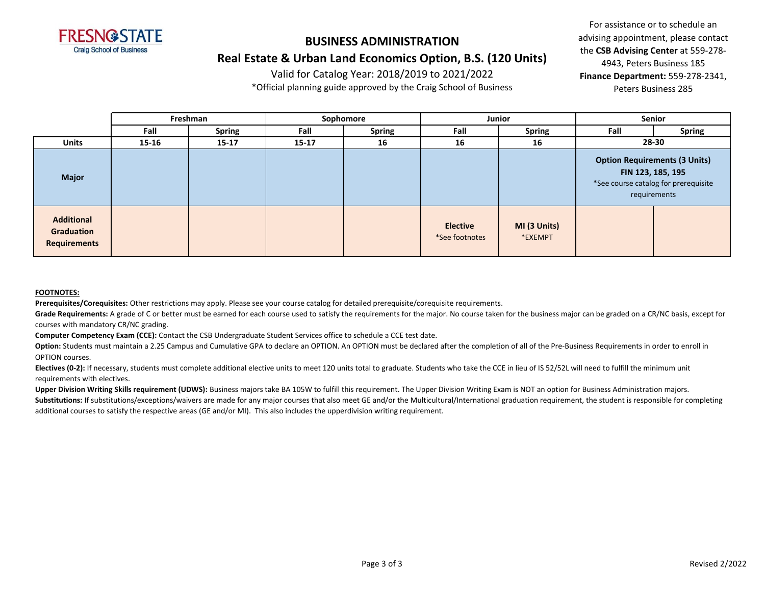

# **BUSINESS ADMINISTRATION Real Estate & Urban Land Economics Option, B.S. (120 Units)**

Valid for Catalog Year: 2018/2019 to 2021/2022

\*Official planning guide approved by the Craig School of Business

For assistance or to schedule an advising appointment, please contact the **CSB Advising Center** at 559-278- 4943, Peters Business 185 **Finance Department:** 559-278-2341, Peters Business 285

|                                                        |           | Freshman      |           | Sophomore     | <b>Junior</b>                     |                         | <b>Senior</b>                                                                                                     |               |
|--------------------------------------------------------|-----------|---------------|-----------|---------------|-----------------------------------|-------------------------|-------------------------------------------------------------------------------------------------------------------|---------------|
|                                                        | Fall      | <b>Spring</b> | Fall      | <b>Spring</b> | Fall                              | <b>Spring</b>           | Fall                                                                                                              | <b>Spring</b> |
| <b>Units</b>                                           | $15 - 16$ | $15 - 17$     | $15 - 17$ | 16            | 16                                | 16                      | 28-30                                                                                                             |               |
| <b>Major</b>                                           |           |               |           |               |                                   |                         | <b>Option Requirements (3 Units)</b><br>FIN 123, 185, 195<br>*See course catalog for prerequisite<br>requirements |               |
| <b>Additional</b><br>Graduation<br><b>Requirements</b> |           |               |           |               | <b>Elective</b><br>*See footnotes | MI (3 Units)<br>*EXEMPT |                                                                                                                   |               |

#### **FOOTNOTES:**

**Prerequisites/Corequisites:** Other restrictions may apply. Please see your course catalog for detailed prerequisite/corequisite requirements.

Grade Requirements: A grade of C or better must be earned for each course used to satisfy the requirements for the major. No course taken for the business major can be graded on a CR/NC basis, except for courses with mandatory CR/NC grading.

**Computer Competency Exam (CCE):** Contact the CSB Undergraduate Student Services office to schedule a CCE test date.

Option: Students must maintain a 2.25 Campus and Cumulative GPA to declare an OPTION. An OPTION must be declared after the completion of all of the Pre-Business Requirements in order to enroll in OPTION courses.

**Electives (0-2):** If necessary, students must complete additional elective units to meet 120 units total to graduate. Students who take the CCE in lieu of IS 52/52L will need to fulfill the minimum unit requirements with electives.

Upper Division Writing Skills requirement (UDWS): Business majors take BA 105W to fulfill this requirement. The Upper Division Writing Exam is NOT an option for Business Administration majors.

Substitutions: If substitutions/exceptions/waivers are made for any major courses that also meet GE and/or the Multicultural/International graduation requirement, the student is responsible for completing additional courses to satisfy the respective areas (GE and/or MI). This also includes the upperdivision writing requirement.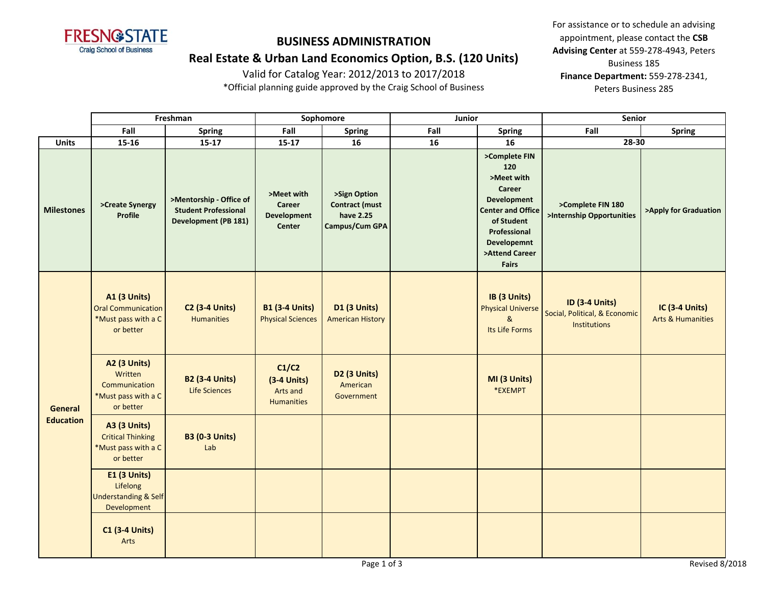

### **Real Estate & Urban Land Economics Option, B.S. (120 Units)**

Valid for Catalog Year: 2012/2013 to 2017/2018

\*Official planning guide approved by the Craig School of Business

|                                    | Freshman                                                                             |                                                                                       | Sophomore                                                          |                                                                      | Junior |                                                                                                                                                                                      | <b>Senior</b>                                                          |                                                       |  |
|------------------------------------|--------------------------------------------------------------------------------------|---------------------------------------------------------------------------------------|--------------------------------------------------------------------|----------------------------------------------------------------------|--------|--------------------------------------------------------------------------------------------------------------------------------------------------------------------------------------|------------------------------------------------------------------------|-------------------------------------------------------|--|
|                                    | Fall                                                                                 | <b>Spring</b>                                                                         | Fall                                                               | <b>Spring</b>                                                        | Fall   | <b>Spring</b>                                                                                                                                                                        | Fall                                                                   | <b>Spring</b>                                         |  |
| <b>Units</b>                       | 15-16                                                                                | $15 - 17$                                                                             | $15 - 17$                                                          | 16                                                                   | 16     | 16                                                                                                                                                                                   | 28-30                                                                  |                                                       |  |
| <b>Milestones</b>                  | >Create Synergy<br><b>Profile</b>                                                    | >Mentorship - Office of<br><b>Student Professional</b><br><b>Development (PB 181)</b> | >Meet with<br><b>Career</b><br><b>Development</b><br><b>Center</b> | >Sign Option<br><b>Contract (must</b><br>have 2.25<br>Campus/Cum GPA |        | >Complete FIN<br>120<br>>Meet with<br>Career<br><b>Development</b><br><b>Center and Office</b><br>of Student<br>Professional<br><b>Developemnt</b><br>>Attend Career<br><b>Fairs</b> | >Complete FIN 180<br>>Internship Opportunities                         | >Apply for Graduation                                 |  |
| <b>General</b><br><b>Education</b> | <b>A1 (3 Units)</b><br><b>Oral Communication</b><br>*Must pass with a C<br>or better | <b>C2 (3-4 Units)</b><br><b>Humanities</b>                                            | <b>B1 (3-4 Units)</b><br><b>Physical Sciences</b>                  | <b>D1 (3 Units)</b><br><b>American History</b>                       |        | IB (3 Units)<br><b>Physical Universe</b><br>$\mathbf{g}$<br>Its Life Forms                                                                                                           | <b>ID (3-4 Units)</b><br>Social, Political, & Economic<br>Institutions | <b>IC (3-4 Units)</b><br><b>Arts &amp; Humanities</b> |  |
|                                    | <b>A2 (3 Units)</b><br>Written<br>Communication<br>*Must pass with a C<br>or better  | <b>B2 (3-4 Units)</b><br>Life Sciences                                                | C1/C2<br>$(3-4$ Units)<br>Arts and<br><b>Humanities</b>            | D2 (3 Units)<br>American<br>Government                               |        | MI (3 Units)<br>*EXEMPT                                                                                                                                                              |                                                                        |                                                       |  |
|                                    | <b>A3 (3 Units)</b><br><b>Critical Thinking</b><br>*Must pass with a C<br>or better  | <b>B3 (0-3 Units)</b><br>Lab                                                          |                                                                    |                                                                      |        |                                                                                                                                                                                      |                                                                        |                                                       |  |
|                                    | E1 (3 Units)<br>Lifelong<br><b>Understanding &amp; Self</b><br>Development           |                                                                                       |                                                                    |                                                                      |        |                                                                                                                                                                                      |                                                                        |                                                       |  |
|                                    | <b>C1 (3-4 Units)</b><br>Arts                                                        |                                                                                       |                                                                    |                                                                      |        |                                                                                                                                                                                      |                                                                        |                                                       |  |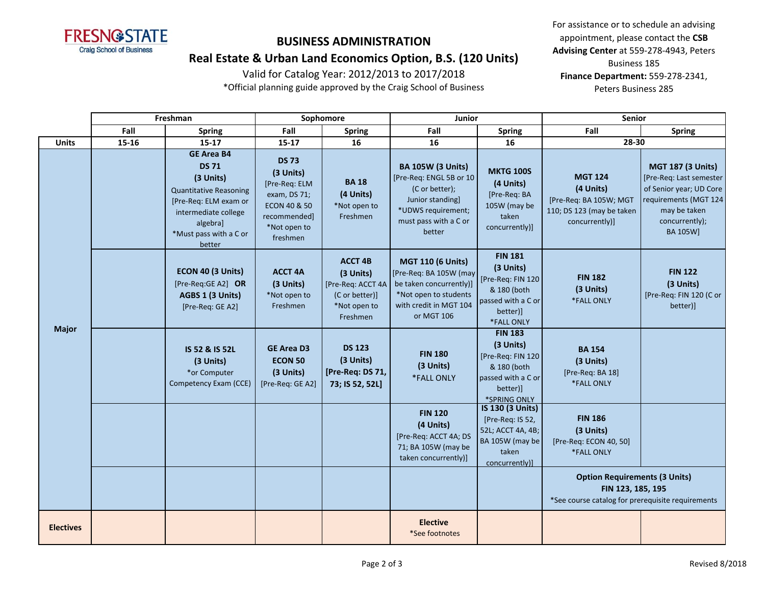

#### **Real Estate & Urban Land Economics Option, B.S. (120 Units)**

Valid for Catalog Year: 2012/2013 to 2017/2018

\*Official planning guide approved by the Craig School of Business

|                  | Freshman |                                                                                                                                                                                  | Sophomore                                                                                                                         |                                                                                                | <b>Junior</b>                                                                                                                                      |                                                                                                                   | <b>Senior</b>                                                                                                  |                                                                                                                                                       |
|------------------|----------|----------------------------------------------------------------------------------------------------------------------------------------------------------------------------------|-----------------------------------------------------------------------------------------------------------------------------------|------------------------------------------------------------------------------------------------|----------------------------------------------------------------------------------------------------------------------------------------------------|-------------------------------------------------------------------------------------------------------------------|----------------------------------------------------------------------------------------------------------------|-------------------------------------------------------------------------------------------------------------------------------------------------------|
|                  | Fall     | <b>Spring</b>                                                                                                                                                                    | Fall                                                                                                                              | <b>Spring</b>                                                                                  | Fall                                                                                                                                               | <b>Spring</b>                                                                                                     | Fall                                                                                                           | <b>Spring</b>                                                                                                                                         |
| <b>Units</b>     | 15-16    | $15 - 17$                                                                                                                                                                        | 15-17                                                                                                                             | 16                                                                                             | 16                                                                                                                                                 | 16                                                                                                                | 28-30                                                                                                          |                                                                                                                                                       |
| <b>Major</b>     |          | <b>GE Area B4</b><br><b>DS 71</b><br>(3 Units)<br><b>Quantitative Reasoning</b><br>[Pre-Req: ELM exam or<br>intermediate college<br>algebra]<br>*Must pass with a C or<br>better | <b>DS 73</b><br>(3 Units)<br>[Pre-Req: ELM<br>exam, DS 71;<br><b>ECON 40 &amp; 50</b><br>recommended]<br>*Not open to<br>freshmen | <b>BA18</b><br>(4 Units)<br>*Not open to<br>Freshmen                                           | <b>BA 105W (3 Units)</b><br>[Pre-Req: ENGL 5B or 10<br>(C or better);<br>Junior standing]<br>*UDWS requirement;<br>must pass with a C or<br>better | <b>MKTG 100S</b><br>(4 Units)<br>[Pre-Req: BA<br>105W (may be<br>taken<br>concurrently)]                          | <b>MGT 124</b><br>(4 Units)<br>[Pre-Req: BA 105W; MGT<br>110; DS 123 (may be taken<br>concurrently)]           | <b>MGT 187 (3 Units)</b><br>[Pre-Req: Last semester<br>of Senior year; UD Core<br>requirements (MGT 124<br>may be taken<br>concurrently);<br>BA 105W] |
|                  |          | ECON 40 (3 Units)<br>[Pre-Req:GE A2] OR<br>AGBS 1 (3 Units)<br>[Pre-Req: GE A2]                                                                                                  | <b>ACCT 4A</b><br>(3 Units)<br>*Not open to<br>Freshmen                                                                           | <b>ACCT 4B</b><br>(3 Units)<br>[Pre-Req: ACCT 4A<br>(C or better)]<br>*Not open to<br>Freshmen | <b>MGT 110 (6 Units)</b><br>[Pre-Req: BA 105W (may<br>be taken concurrently)]<br>*Not open to students<br>with credit in MGT 104<br>or MGT 106     | <b>FIN 181</b><br>(3 Units)<br>[Pre-Req: FIN 120<br>& 180 (both<br>passed with a C or<br>better)]<br>*FALL ONLY   | <b>FIN 182</b><br>(3 Units)<br>*FALL ONLY                                                                      | <b>FIN 122</b><br>(3 Units)<br>[Pre-Req: FIN 120 (C or<br>better)]                                                                                    |
|                  |          | IS 52 & IS 52L<br>(3 Units)<br>*or Computer<br>Competency Exam (CCE)                                                                                                             | <b>GE Area D3</b><br><b>ECON 50</b><br>(3 Units)<br>[Pre-Reg: GE A2]                                                              | <b>DS 123</b><br>(3 Units)<br>[Pre-Req: DS 71,<br>73; IS 52, 52L]                              | <b>FIN 180</b><br>(3 Units)<br>*FALL ONLY                                                                                                          | <b>FIN 183</b><br>(3 Units)<br>[Pre-Req: FIN 120<br>& 180 (both<br>passed with a C or<br>better)]<br>*SPRING ONLY | <b>BA 154</b><br>(3 Units)<br>[Pre-Req: BA 18]<br>*FALL ONLY                                                   |                                                                                                                                                       |
|                  |          |                                                                                                                                                                                  |                                                                                                                                   |                                                                                                | <b>FIN 120</b><br>(4 Units)<br>[Pre-Req: ACCT 4A; DS<br>71; BA 105W (may be<br>taken concurrently)]                                                | IS 130 (3 Units)<br>[Pre-Req: IS 52,<br>52L; ACCT 4A, 4B;<br>BA 105W (may be<br>taken<br>concurrently)]           | <b>FIN 186</b><br>(3 Units)<br>[Pre-Req: ECON 40, 50]<br>*FALL ONLY                                            |                                                                                                                                                       |
|                  |          |                                                                                                                                                                                  |                                                                                                                                   |                                                                                                |                                                                                                                                                    |                                                                                                                   | <b>Option Requirements (3 Units)</b><br>FIN 123, 185, 195<br>*See course catalog for prerequisite requirements |                                                                                                                                                       |
| <b>Electives</b> |          |                                                                                                                                                                                  |                                                                                                                                   |                                                                                                | <b>Elective</b><br>*See footnotes                                                                                                                  |                                                                                                                   |                                                                                                                |                                                                                                                                                       |